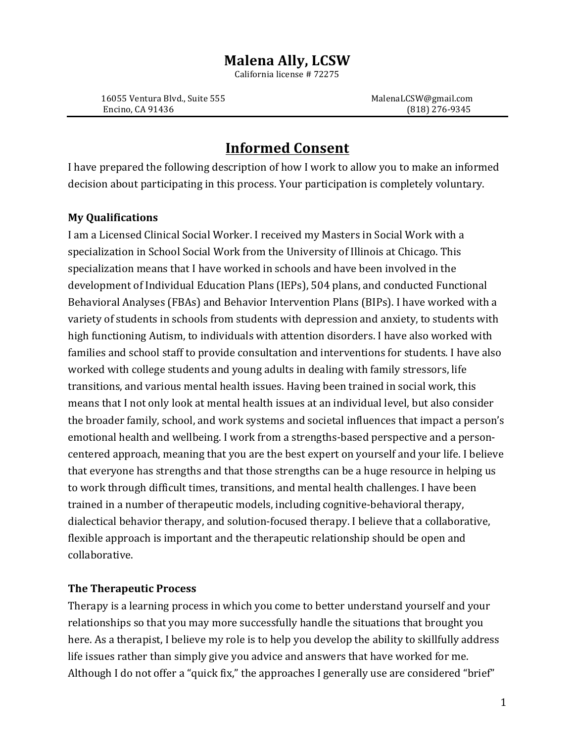# **Malena Ally, LCSW**

California license # 72275

16055 Ventura Blvd., Suite 555 MalenaLCSW@gmail.com Encino, CA 91436 (818) 276-9345

# **Informed Consent**

I have prepared the following description of how I work to allow you to make an informed decision about participating in this process. Your participation is completely voluntary.

# **My Qualifications**

I am a Licensed Clinical Social Worker. I received my Masters in Social Work with a specialization in School Social Work from the University of Illinois at Chicago. This specialization means that I have worked in schools and have been involved in the development of Individual Education Plans (IEPs), 504 plans, and conducted Functional Behavioral Analyses (FBAs) and Behavior Intervention Plans (BIPs). I have worked with a variety of students in schools from students with depression and anxiety, to students with high functioning Autism, to individuals with attention disorders. I have also worked with families and school staff to provide consultation and interventions for students. I have also worked with college students and young adults in dealing with family stressors, life transitions, and various mental health issues. Having been trained in social work, this means that I not only look at mental health issues at an individual level, but also consider the broader family, school, and work systems and societal influences that impact a person's emotional health and wellbeing. I work from a strengths-based perspective and a personcentered approach, meaning that you are the best expert on yourself and your life. I believe that everyone has strengths and that those strengths can be a huge resource in helping us to work through difficult times, transitions, and mental health challenges. I have been trained in a number of therapeutic models, including cognitive-behavioral therapy, dialectical behavior therapy, and solution-focused therapy. I believe that a collaborative, flexible approach is important and the therapeutic relationship should be open and collaborative. 

# **The Therapeutic Process**

Therapy is a learning process in which you come to better understand yourself and your relationships so that you may more successfully handle the situations that brought you here. As a therapist, I believe my role is to help you develop the ability to skillfully address life issues rather than simply give you advice and answers that have worked for me. Although I do not offer a "quick fix," the approaches I generally use are considered "brief"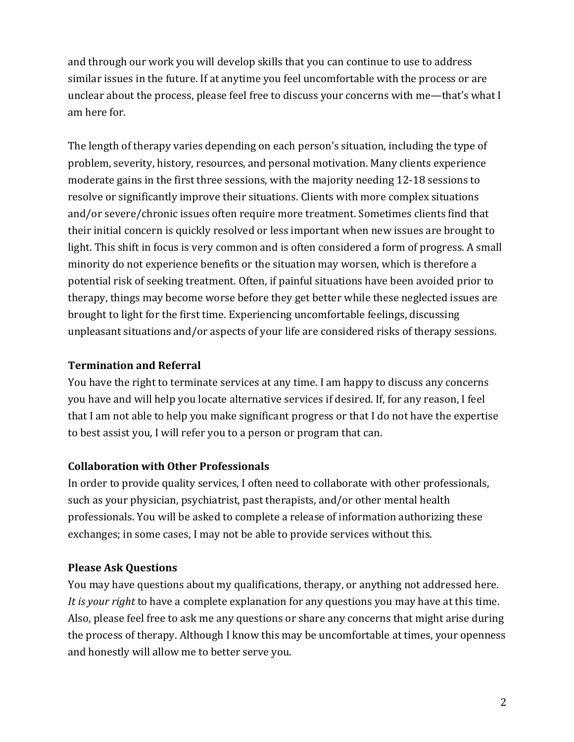and through our work you will develop skills that you can continue to use to address similar issues in the future. If at anytime you feel uncomfortable with the process or are unclear about the process, please feel free to discuss your concerns with me—that's what I am here for.

The length of therapy varies depending on each person's situation, including the type of problem, severity, history, resources, and personal motivation. Many clients experience moderate gains in the first three sessions, with the majority needing 12-18 sessions to resolve or significantly improve their situations. Clients with more complex situations and/or severe/chronic issues often require more treatment. Sometimes clients find that their initial concern is quickly resolved or less important when new issues are brought to light. This shift in focus is very common and is often considered a form of progress. A small minority do not experience benefits or the situation may worsen, which is therefore a potential risk of seeking treatment. Often, if painful situations have been avoided prior to therapy, things may become worse before they get better while these neglected issues are brought to light for the first time. Experiencing uncomfortable feelings, discussing unpleasant situations and/or aspects of your life are considered risks of therapy sessions.

## **Termination and Referral**

You have the right to terminate services at any time. I am happy to discuss any concerns you have and will help you locate alternative services if desired. If, for any reason, I feel that I am not able to help you make significant progress or that I do not have the expertise to best assist you, I will refer you to a person or program that can.

# **Collaboration with Other Professionals**

In order to provide quality services, I often need to collaborate with other professionals, such as your physician, psychiatrist, past therapists, and/or other mental health professionals. You will be asked to complete a release of information authorizing these exchanges; in some cases, I may not be able to provide services without this.

# **Please Ask Questions**

You may have questions about my qualifications, therapy, or anything not addressed here. *It is your right* to have a complete explanation for any questions you may have at this time. Also, please feel free to ask me any questions or share any concerns that might arise during the process of therapy. Although I know this may be uncomfortable at times, your openness and honestly will allow me to better serve you.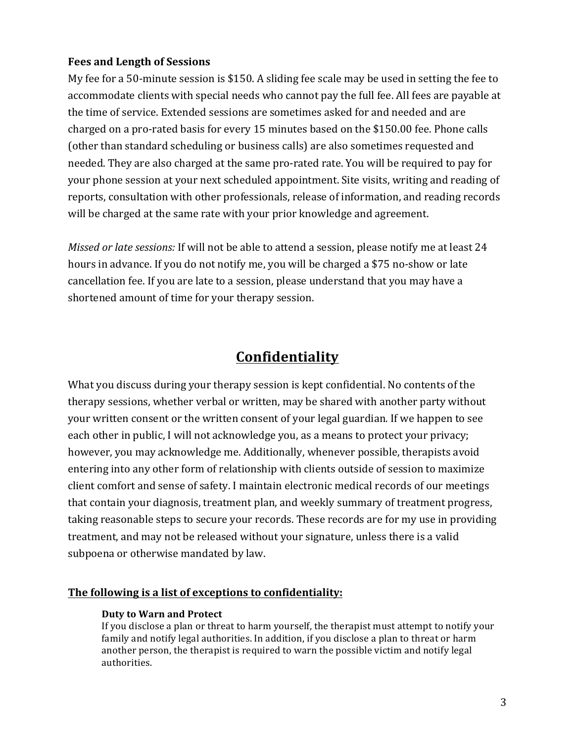#### **Fees and Length of Sessions**

My fee for a 50-minute session is \$150. A sliding fee scale may be used in setting the fee to accommodate clients with special needs who cannot pay the full fee. All fees are payable at the time of service. Extended sessions are sometimes asked for and needed and are charged on a pro-rated basis for every 15 minutes based on the \$150.00 fee. Phone calls (other than standard scheduling or business calls) are also sometimes requested and needed. They are also charged at the same pro-rated rate. You will be required to pay for your phone session at your next scheduled appointment. Site visits, writing and reading of reports, consultation with other professionals, release of information, and reading records will be charged at the same rate with your prior knowledge and agreement.

*Missed or late sessions:* If will not be able to attend a session, please notify me at least 24 hours in advance. If you do not notify me, you will be charged a \$75 no-show or late cancellation fee. If you are late to a session, please understand that you may have a shortened amount of time for your therapy session.

# **Confidentiality**

What you discuss during your therapy session is kept confidential. No contents of the therapy sessions, whether verbal or written, may be shared with another party without your written consent or the written consent of your legal guardian. If we happen to see each other in public, I will not acknowledge you, as a means to protect your privacy; however, you may acknowledge me. Additionally, whenever possible, therapists avoid entering into any other form of relationship with clients outside of session to maximize client comfort and sense of safety. I maintain electronic medical records of our meetings that contain your diagnosis, treatment plan, and weekly summary of treatment progress, taking reasonable steps to secure your records. These records are for my use in providing treatment, and may not be released without your signature, unless there is a valid subpoena or otherwise mandated by law.

#### The following is a list of exceptions to confidentiality:

#### **Duty to Warn and Protect**

If you disclose a plan or threat to harm yourself, the therapist must attempt to notify your family and notify legal authorities. In addition, if you disclose a plan to threat or harm another person, the therapist is required to warn the possible victim and notify legal authorities.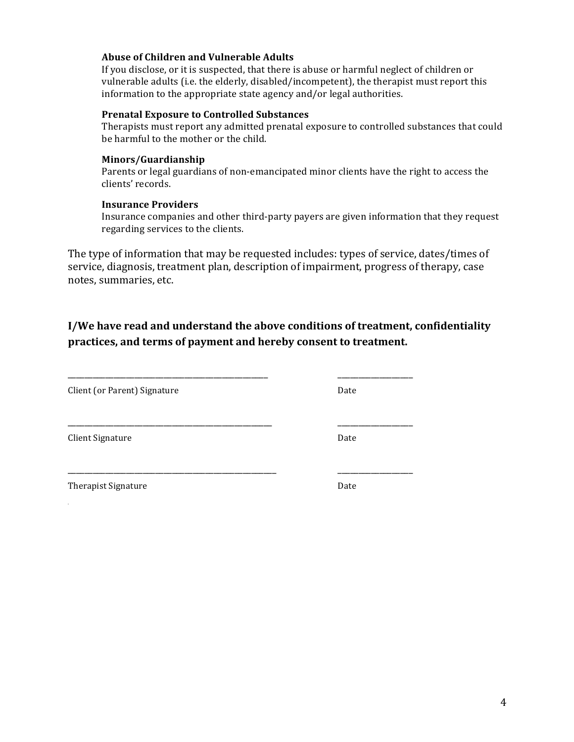### **Abuse of Children and Vulnerable Adults**

If you disclose, or it is suspected, that there is abuse or harmful neglect of children or vulnerable adults (i.e. the elderly, disabled/incompetent), the therapist must report this information to the appropriate state agency and/or legal authorities.

#### **Prenatal Exposure to Controlled Substances**

Therapists must report any admitted prenatal exposure to controlled substances that could be harmful to the mother or the child.

#### **Minors/Guardianship**

Parents or legal guardians of non-emancipated minor clients have the right to access the clients' records.

#### **Insurance Providers**

Insurance companies and other third-party payers are given information that they request regarding services to the clients.

The type of information that may be requested includes: types of service, dates/times of service, diagnosis, treatment plan, description of impairment, progress of therapy, case notes, summaries, etc.

# **I/We have read and understand the above conditions of treatment, confidentiality** practices, and terms of payment and hereby consent to treatment.

\_\_\_\_\_\_\_\_\_\_\_\_\_\_\_\_\_\_\_\_\_\_\_\_\_\_\_\_\_\_\_\_\_\_\_\_\_\_\_\_\_\_\_\_\_\_\_\_ \_\_\_\_\_\_\_\_\_\_\_\_\_\_\_\_\_\_

\_\_\_\_\_\_\_\_\_\_\_\_\_\_\_\_\_\_\_\_\_\_\_\_\_\_\_\_\_\_\_\_\_\_\_\_\_\_\_\_\_\_\_\_\_\_\_\_\_ \_\_\_\_\_\_\_\_\_\_\_\_\_\_\_\_\_\_ 

\_\_\_\_\_\_\_\_\_\_\_\_\_\_\_\_\_\_\_\_\_\_\_\_\_\_\_\_\_\_\_\_\_\_\_\_\_\_\_\_\_\_\_\_\_\_\_\_\_\_ \_\_\_\_\_\_\_\_\_\_\_\_\_\_\_\_\_\_ 

Client (or Parent) Signature Date

Client Signature Date

Therapist Signature **Date**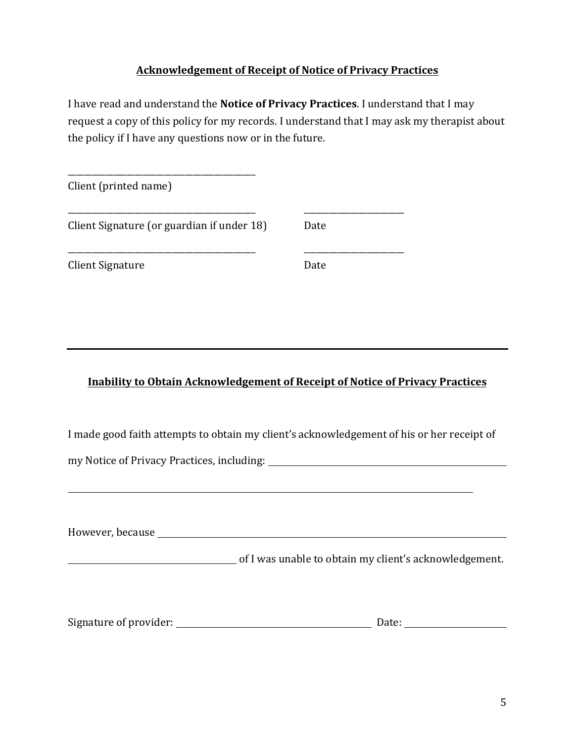### **Acknowledgement of Receipt of Notice of Privacy Practices**

I have read and understand the **Notice of Privacy Practices**. I understand that I may request a copy of this policy for my records. I understand that I may ask my therapist about the policy if I have any questions now or in the future.

| Client (printed name)                      |      |  |
|--------------------------------------------|------|--|
| Client Signature (or guardian if under 18) | Date |  |
| Client Signature                           | Date |  |

# **Inability to Obtain Acknowledgement of Receipt of Notice of Privacy Practices**

I made good faith attempts to obtain my client's acknowledgement of his or her receipt of

my Notice of Privacy Practices, including: 2008 2009 2010 2020 2020 2021 2022 2023 2024 2022 2023 2024 2022 20

\_\_\_\_\_\_\_\_\_\_\_\_\_\_\_\_\_\_\_\_\_\_\_\_\_\_\_\_\_\_\_\_\_\_\_\_\_\_\_\_\_\_\_\_\_

However, because

of I was unable to obtain my client's acknowledgement.

| Signature of provider: | Date: |
|------------------------|-------|
|                        |       |